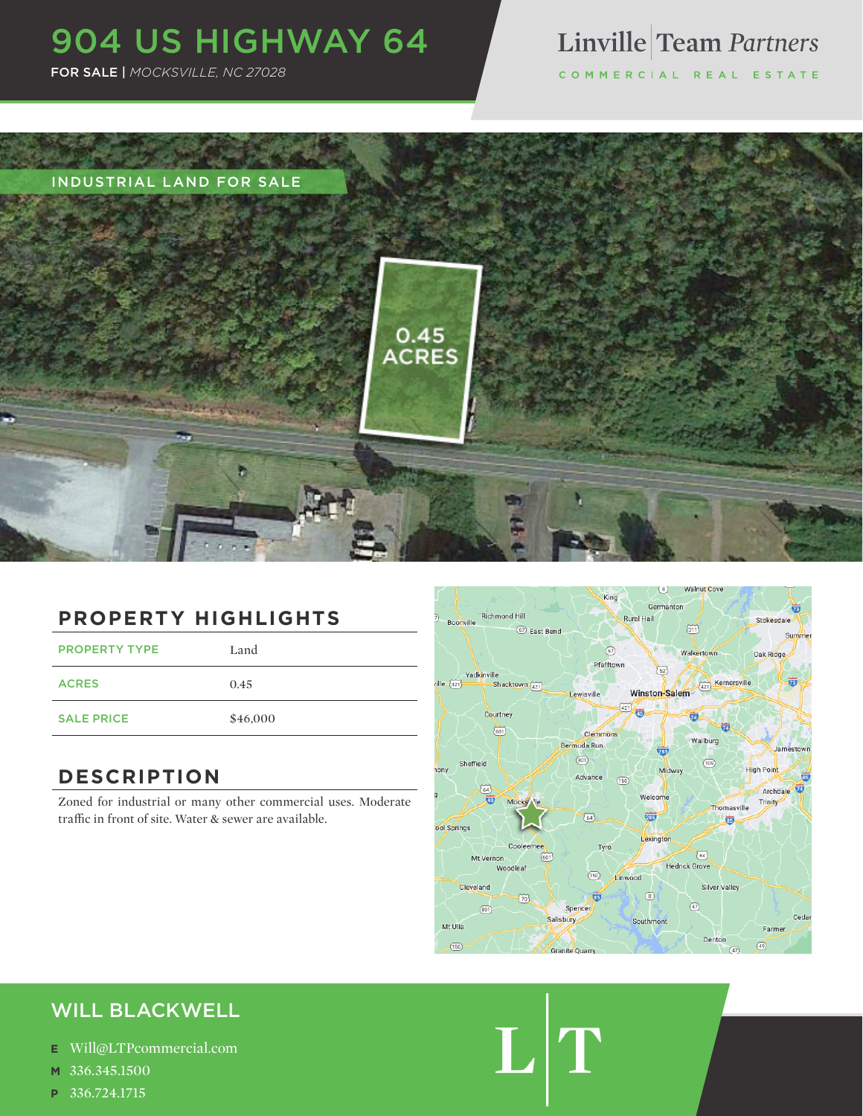# 904 US HIGHWAY 64

FOR SALE | *MOCKSVILLE, NC 27028*

# Linville Team Partners

COMMERCIAL REAL ESTATE



### **PROPERTY HIGHLIGHTS**

PROPERTY TYPE Land ACRES 0.45 SALE PRICE \$46,000

### **DESCRIPTION**

Zoned for industrial or many other commercial uses. Moderate traffic in front of site. Water & sewer are available.



 $\mathbf{L}|^{r}$ 

### WILL BLACKWELL

- **E** Will@LTPcommercial.com
- **M** 336.345.1500
- **P** 336.724.1715